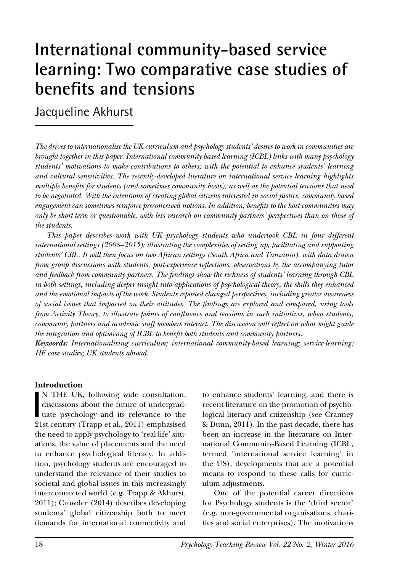# **International community-based service learning: Two comparative case studies of benefits and tensions**

Jacqueline Akhurst

*The drives to internationalise the UK curriculum and psychology students' desires to work in communities are brought together in this paper. International community-based learning (ICBL) links with many psychology students' motivations to make contributions to others; with the potential to enhance students' learning and cultural sensitivities. The recently-developed literature on international service learning highlights multiple benefits for students (and sometimes community hosts), as well as the potential tensions that need to be negotiated. With the intentions of creating global citizens interested in social justice, community-based engagement can sometimes reinforce preconceived notions. In addition, benefits to the host communities may only be short-term or questionable, with less research on community partners' perspectives than on those of the students.*

*This paper describes work with UK psychology students who undertook CBL in four different international settings (2008–2015); illustrating the complexities of setting up, facilitating and supporting students' CBL. It will then focus on two African settings (South Africa and Tanzania), with data drawn from group discussions with students, post-experience reflections, observations by the accompanying tutor and feedback from community partners. The findings show the richness of students' learning through CBL in both settings, including deeper insight into applications of psychological theory, the skills they enhanced and the emotional impacts of the work. Students reported changed perspectives, including greater awareness of social issues that impacted on their attitudes. The findings are explored and compared, using tools from Activity Theory, to illustrate points of confluence and tensions in such initiatives, when students, community partners and academic staff members interact. The discussion will reflect on what might guide the integration and optimising of ICBL to benefit both students and community partners.*

*Keywords: Internationalising curriculum; international community-based learning; service-learning; HE case studies; UK students abroad.*

### **Introduction**

**I**<br>91 N THE UK, following wide consultation, discussions about the future of undergraduate psychology and its relevance to the 21st century (Trapp et al., 2011) emphasised the need to apply psychology to 'real life' situations, the value of placements and the need to enhance psychological literacy. In addition, psychology students are encouraged to understand the relevance of their studies to societal and global issues in this increasingly interconnected world (e.g. Trapp & Akhurst, 2011); Crowder (2014) describes developing students' global citizenship both to meet demands for international connectivity and

to enhance students' learning; and there is recent literature on the promotion of psychological literacy and citizenship (see Cranney & Dunn, 2011). In the past decade, there has been an increase in the literature on International Community-Based Learning (ICBL, termed 'international service learning' in the US), developments that are a potential means to respond to these calls for curriculum adjustments.

One of the potential career directions for Psychology students is the 'third sector' (e.g. non-governmental organisations, charities and social enterprises). The motivations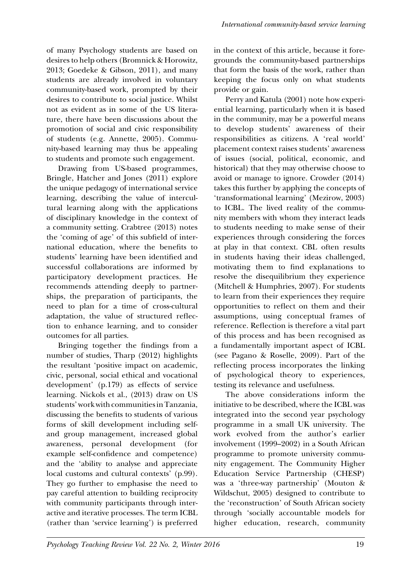of many Psychology students are based on desires to help others (Bromnick & Horowitz, 2013; Goedeke & Gibson, 2011), and many students are already involved in voluntary community-based work, prompted by their desires to contribute to social justice. Whilst not as evident as in some of the US literature, there have been discussions about the promotion of social and civic responsibility of students (e.g. Annette, 2005). Community-based learning may thus be appealing to students and promote such engagement.

Drawing from US-based programmes, Bringle, Hatcher and Jones (2011) explore the unique pedagogy of international service learning, describing the value of intercultural learning along with the applications of disciplinary knowledge in the context of a community setting. Crabtree (2013) notes the 'coming of age' of this subfield of international education, where the benefits to students' learning have been identified and successful collaborations are informed by participatory development practices. He recommends attending deeply to partnerships, the preparation of participants, the need to plan for a time of cross-cultural adaptation, the value of structured reflection to enhance learning, and to consider outcomes for all parties.

Bringing together the findings from a number of studies, Tharp (2012) highlights the resultant 'positive impact on academic, civic, personal, social ethical and vocational development' (p.179) as effects of service learning. Nickols et al., (2013) draw on US students' work with communities in Tanzania, discussing the benefits to students of various forms of skill development including selfand group management, increased global awareness, personal development (for example self-confidence and competence) and the 'ability to analyse and appreciate local customs and cultural contexts' (p.99). They go further to emphasise the need to pay careful attention to building reciprocity with community participants through interactive and iterative processes. The term ICBL (rather than 'service learning') is preferred in the context of this article, because it foregrounds the community-based partnerships that form the basis of the work, rather than keeping the focus only on what students provide or gain.

Perry and Katula (2001) note how experiential learning, particularly when it is based in the community, may be a powerful means to develop students' awareness of their responsibilities as citizens. A 'real world' placement context raises students' awareness of issues (social, political, economic, and historical) that they may otherwise choose to avoid or manage to ignore. Crowder (2014) takes this further by applying the concepts of 'transformational learning' (Mezirow, 2003) to ICBL. The lived reality of the community members with whom they interact leads to students needing to make sense of their experiences through considering the forces at play in that context. CBL often results in students having their ideas challenged, motivating them to find explanations to resolve the disequilibrium they experience (Mitchell & Humphries, 2007). For students to learn from their experiences they require opportunities to reflect on them and their assumptions, using conceptual frames of reference. Reflection is therefore a vital part of this process and has been recognised as a fundamentally important aspect of ICBL (see Pagano & Roselle, 2009). Part of the reflecting process incorporates the linking of psychological theory to experiences, testing its relevance and usefulness.

The above considerations inform the initiative to be described, where the ICBL was integrated into the second year psychology programme in a small UK university. The work evolved from the author's earlier involvement (1999–2002) in a South African programme to promote university community engagement. The Community Higher Education Service Partnership (CHESP) was a 'three-way partnership' (Mouton & Wildschut, 2005) designed to contribute to the 'reconstruction' of South African society through 'socially accountable models for higher education, research, community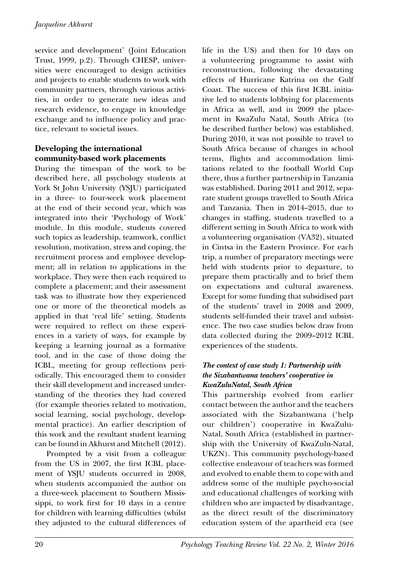service and development' (Joint Education Trust, 1999, p.2). Through CHESP, universities were encouraged to design activities and projects to enable students to work with community partners, through various activities, in order to generate new ideas and research evidence, to engage in knowledge exchange and to influence policy and practice, relevant to societal issues.

# **Developing the international community-based work placements**

During the timespan of the work to be described here, all psychology students at York St John University (YSJU) participated in a three- to four-week work placement at the end of their second year, which was integrated into their 'Psychology of Work' module. In this module, students covered such topics as leadership, teamwork, conflict resolution, motivation, stress and coping, the recruitment process and employee development; all in relation to applications in the workplace. They were then each required to complete a placement; and their assessment task was to illustrate how they experienced one or more of the theoretical models as applied in that 'real life' setting. Students were required to reflect on these experiences in a variety of ways, for example by keeping a learning journal as a formative tool, and in the case of those doing the ICBL, meeting for group reflections periodically. This encouraged them to consider their skill development and increased understanding of the theories they had covered (for example theories related to motivation, social learning, social psychology, developmental practice). An earlier description of this work and the resultant student learning can be found in Akhurst and Mitchell (2012).

Prompted by a visit from a colleague from the US in 2007, the first ICBL placement of YSJU students occurred in 2008, when students accompanied the author on a three-week placement to Southern Mississippi, to work first for 10 days in a centre for children with learning difficulties (whilst they adjusted to the cultural differences of life in the US) and then for 10 days on a volunteering programme to assist with reconstruction, following the devastating effects of Hurricane Katrina on the Gulf Coast. The success of this first ICBL initiative led to students lobbying for placements in Africa as well, and in 2009 the placement in KwaZulu Natal, South Africa (to be described further below) was established. During 2010, it was not possible to travel to South Africa because of changes in school terms, flights and accommodation limitations related to the football World Cup there, thus a further partnership in Tanzania was established. During 2011 and 2012, separate student groups travelled to South Africa and Tanzania. Then in 2014–2015, due to changes in staffing, students travelled to a different setting in South Africa to work with a volunteering organisation (VA32), situated in Cintsa in the Eastern Province. For each trip, a number of preparatory meetings were held with students prior to departure, to prepare them practically and to brief them on expectations and cultural awareness. Except for some funding that subsidised part of the students' travel in 2008 and 2009, students self-funded their travel and subsistence. The two case studies below draw from data collected during the 2009–2012 ICBL experiences of the students.

### *The context of case study 1: Partnership with the Sizabantwana teachers' cooperative in KwaZuluNatal, South Africa*

This partnership evolved from earlier contact between the author and the teachers associated with the Sizabantwana ('help our children') cooperative in KwaZulu-Natal, South Africa (established in partnership with the University of KwaZulu-Natal, UKZN). This community psychology-based collective endeavour of teachers was formed and evolved to enable them to cope with and address some of the multiple psycho-social and educational challenges of working with children who are impacted by disadvantage, as the direct result of the discriminatory education system of the apartheid era (see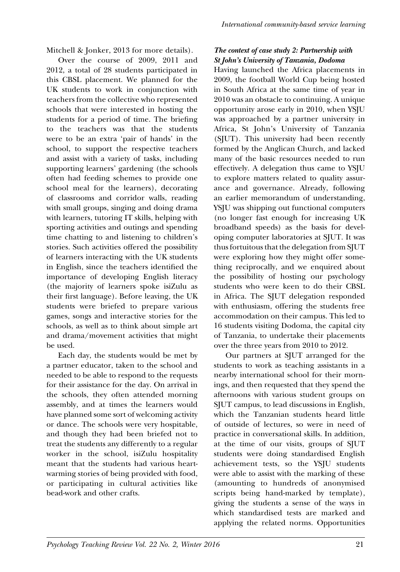Mitchell & Jonker, 2013 for more details).

Over the course of 2009, 2011 and 2012, a total of 28 students participated in this CBSL placement. We planned for the UK students to work in conjunction with teachers from the collective who represented schools that were interested in hosting the students for a period of time. The briefing to the teachers was that the students were to be an extra 'pair of hands' in the school, to support the respective teachers and assist with a variety of tasks, including supporting learners' gardening (the schools often had feeding schemes to provide one school meal for the learners), decorating of classrooms and corridor walls, reading with small groups, singing and doing drama with learners, tutoring IT skills, helping with sporting activities and outings and spending time chatting to and listening to children's stories. Such activities offered the possibility of learners interacting with the UK students in English, since the teachers identified the importance of developing English literacy (the majority of learners spoke isiZulu as their first language). Before leaving, the UK students were briefed to prepare various games, songs and interactive stories for the schools, as well as to think about simple art and drama/movement activities that might be used.

Each day, the students would be met by a partner educator, taken to the school and needed to be able to respond to the requests for their assistance for the day. On arrival in the schools, they often attended morning assembly, and at times the learners would have planned some sort of welcoming activity or dance. The schools were very hospitable, and though they had been briefed not to treat the students any differently to a regular worker in the school, isiZulu hospitality meant that the students had various heartwarming stories of being provided with food, or participating in cultural activities like bead-work and other crafts.

# *The context of case study 2: Partnership with St John's University of Tanzania, Dodoma*

Having launched the Africa placements in 2009, the football World Cup being hosted in South Africa at the same time of year in 2010 was an obstacle to continuing. A unique opportunity arose early in 2010, when YSJU was approached by a partner university in Africa, St John's University of Tanzania (SJUT). This university had been recently formed by the Anglican Church, and lacked many of the basic resources needed to run effectively. A delegation thus came to YSJU to explore matters related to quality assurance and governance. Already, following an earlier memorandum of understanding, YSJU was shipping out functional computers (no longer fast enough for increasing UK broadband speeds) as the basis for developing computer laboratories at SJUT. It was thus fortuitous that the delegation from SJUT were exploring how they might offer something reciprocally, and we enquired about the possibility of hosting our psychology students who were keen to do their CBSL in Africa. The SJUT delegation responded with enthusiasm, offering the students free accommodation on their campus. This led to 16 students visiting Dodoma, the capital city of Tanzania, to undertake their placements over the three years from 2010 to 2012.

Our partners at SJUT arranged for the students to work as teaching assistants in a nearby international school for their mornings, and then requested that they spend the afternoons with various student groups on SJUT campus, to lead discussions in English, which the Tanzanian students heard little of outside of lectures, so were in need of practice in conversational skills. In addition, at the time of our visits, groups of SJUT students were doing standardised English achievement tests, so the YSJU students were able to assist with the marking of these (amounting to hundreds of anonymised scripts being hand-marked by template), giving the students a sense of the ways in which standardised tests are marked and applying the related norms. Opportunities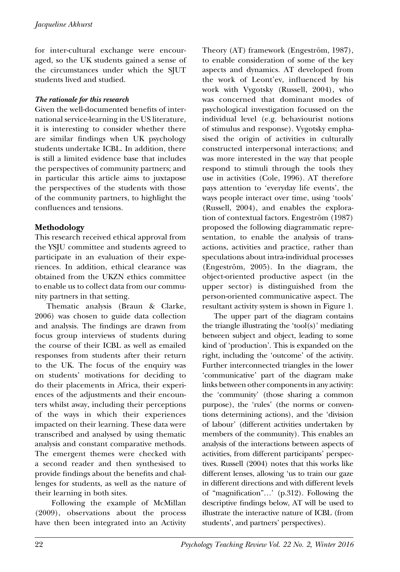for inter-cultural exchange were encouraged, so the UK students gained a sense of the circumstances under which the SJUT students lived and studied.

# *The rationale for this research*

Given the well-documented benefits of international service-learning in the US literature, it is interesting to consider whether there are similar findings when UK psychology students undertake ICBL. In addition, there is still a limited evidence base that includes the perspectives of community partners; and in particular this article aims to juxtapose the perspectives of the students with those of the community partners, to highlight the confluences and tensions.

# **Methodology**

This research received ethical approval from the YSJU committee and students agreed to participate in an evaluation of their experiences. In addition, ethical clearance was obtained from the UKZN ethics committee to enable us to collect data from our community partners in that setting.

Thematic analysis (Braun & Clarke, 2006) was chosen to guide data collection and analysis. The findings are drawn from focus group interviews of students during the course of their ICBL as well as emailed responses from students after their return to the UK. The focus of the enquiry was on students' motivations for deciding to do their placements in Africa, their experiences of the adjustments and their encounters whilst away, including their perceptions of the ways in which their experiences impacted on their learning. These data were transcribed and analysed by using thematic analysis and constant comparative methods. The emergent themes were checked with a second reader and then synthesised to provide findings about the benefits and challenges for students, as well as the nature of their learning in both sites.

 Following the example of McMillan (2009), observations about the process have then been integrated into an Activity Theory (AT) framework (Engeström, 1987), to enable consideration of some of the key aspects and dynamics. AT developed from the work of Leont'ev, influenced by his work with Vygotsky (Russell, 2004), who was concerned that dominant modes of psychological investigation focussed on the individual level (e.g. behaviourist notions of stimulus and response). Vygotsky emphasised the origin of activities in culturally constructed interpersonal interactions; and was more interested in the way that people respond to stimuli through the tools they use in activities (Cole, 1996). AT therefore pays attention to 'everyday life events', the ways people interact over time, using 'tools' (Russell, 2004), and enables the exploration of contextual factors. Engeström (1987) proposed the following diagrammatic representation, to enable the analysis of transactions, activities and practice, rather than speculations about intra-individual processes (Engeström, 2005). In the diagram, the object-oriented productive aspect (in the upper sector) is distinguished from the person-oriented communicative aspect. The resultant activity system is shown in Figure 1.

The upper part of the diagram contains the triangle illustrating the 'tool(s)' mediating between subject and object, leading to some kind of 'production'. This is expanded on the right, including the 'outcome' of the activity. Further interconnected triangles in the lower 'communicative' part of the diagram make links between other components in any activity: the 'community' (those sharing a common purpose), the 'rules' (the norms or conventions determining actions), and the 'division of labour' (different activities undertaken by members of the community). This enables an analysis of the interactions between aspects of activities, from different participants' perspectives. Russell (2004) notes that this works like different lenses, allowing 'us to train our gaze in different directions and with different levels of "magnification"…' (p.312). Following the descriptive findings below, AT will be used to illustrate the interactive nature of ICBL (from students', and partners' perspectives).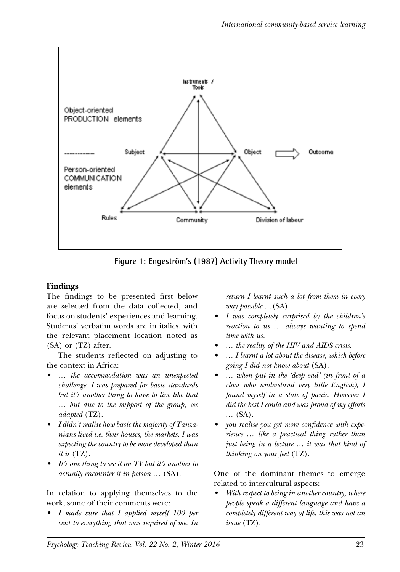

**Figure 1: Engeström's (1987) Activity Theory model**

#### $\lim_{s\to s}$ **Findings**

The findings to be presented first below are selected from the data collected, and focus on students' experiences and learning. Students' verbatim words are in italics, with the relevant placement location noted as (SA) or (TZ) after.

The students reflected on adjusting to the context in Africa:

- *• … the accommodation was an unexpected challenge. I was prepared for basic standards but it's another thing to have to live like that … but due to the support of the group, we adapted* (TZ).
- *• I didn't realise how basic the majority of Tanzanians lived i.e. their houses, the markets. I was expecting the country to be more developed than it is* (TZ).
- *• It's one thing to see it on TV but it's another to actually encounter it in person …* (SA).

In relation to applying themselves to the work, some of their comments were:

*• I made sure that I applied myself 100 per cent to everything that was required of me. In*  *return I learnt such a lot from them in every way possible …*(SA).

- *• I was completely surprised by the children's reaction to us … always wanting to spend time with us.*
- *• … the reality of the HIV and AIDS crisis.*
- *• … I learnt a lot about the disease, which before going I did not know about* (SA).
- *• … when put in the 'deep end' (in front of a class who understand very little English), I found myself in a state of panic. However I did the best I could and was proud of my efforts …* (SA).
- *• you realise you get more confidence with experience … like a practical thing rather than just being in a lecture … it was that kind of thinking on your feet* (TZ).

One of the dominant themes to emerge related to intercultural aspects:

*• With respect to being in another country, where people speak a different language and have a completely different way of life, this was not an issue* (TZ).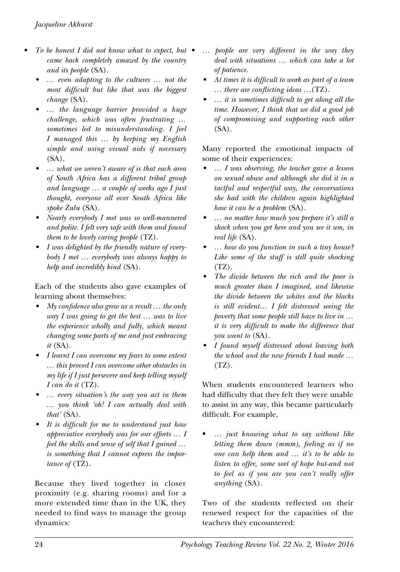- *• To be honest I did not know what to expect*, *but came back completely amazed by the country and its people* (SA).
	- *• … even adapting to the cultures … not the most difficult but like that was the biggest change* (SA).
	- *• … the language barrier provided a huge challenge, which was often frustrating … sometimes led to misunderstanding. I feel I managed this … by keeping my English simple and using visual aids if necessary* (SA).
	- *• … what we weren't aware of is that each area of South Africa has a different tribal group and language … a couple of weeks ago I just thought, everyone all over South Africa like spoke Zulu* (SA).
	- *• Nearly everybody I met was so well-mannered and polite. I felt very safe with them and found them to be lovely caring people* (TZ).
	- *• I was delighted by the friendly nature of everybody I met … everybody was always happy to help and incredibly kind* (SA).

Each of the students also gave examples of learning about themselves:

- *• My confidence also grew as a result … the only way I was going to get the best … was to live the experience wholly and fully, which meant changing some parts of me and just embracing it* (SA).
- *• I learnt I can overcome my fears to some extent … this proved I can overcome other obstacles in my life if I just persevere and keep telling myself I can do it* (TZ).
- *• … every situation's the way you act in them … you think 'oh! I can actually deal with that'* (SA).
- *• It is difficult for me to understand just how appreciative everybody was for our efforts … I feel the skills and sense of self that I gained … is something that I cannot express the importance of* (TZ).

Because they lived together in closer proximity (e.g. sharing rooms) and for a more extended time than in the UK, they needed to find ways to manage the group dynamics:

- *• … people are very different in the way they deal with situations … which can take a lot of patience.*
- *• At times it is difficult to work as part of a team … there are conflicting ideas …*(TZ).
- *• … it is sometimes difficult to get along all the time. However, I think that we did a good job of compromising and supporting each other* (SA).

Many reported the emotional impacts of some of their experiences:

- *• … I was observing, the teacher gave a lesson on sexual abuse and although she did it in a tactful and respectful way, the conversations she had with the children again highlighted how it can be a problem* (SA).
- *• … no matter how much you prepare it's still a shock when you get here and you see it um, in real life* (SA).
- *• … how do you function in such a tiny house? Like some of the stuff is still quite shocking*  $(TZ)$ .
- *• The divide between the rich and the poor is much greater than I imagined, and likewise the divide between the whites and the blacks is still evident… I felt distressed seeing the poverty that some people still have to live in … it is very difficult to make the difference that you want to* (SA).
- *• I found myself distressed about leaving both the school and the new friends I had made …*  $(TZ)$ .

When students encountered learners who had difficulty that they felt they were unable to assist in any way, this became particularly difficult. For example,

• *… just knowing what to say without like letting them down (mmm), feeling as if no one can help them and … it's to be able to listen to offer, some sort of hope but-and not to feel as if you are you can't really offer anything* (SA).

Two of the students reflected on their renewed respect for the capacities of the teachers they encountered: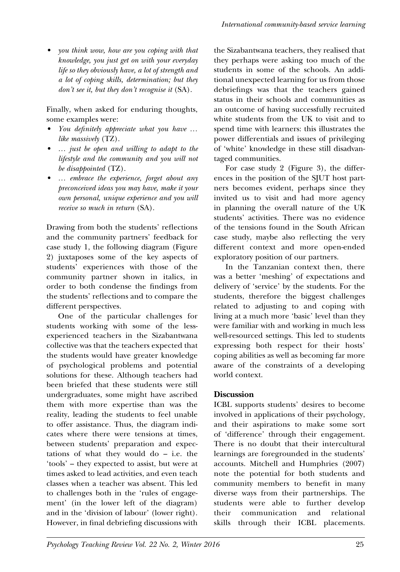*• you think wow, how are you coping with that knowledge, you just get on with your everyday life so they obviously have, a lot of strength and a lot of coping skills, determination; but they don't see it, but they don't recognise it* (SA).

Finally, when asked for enduring thoughts, some examples were:

- *• You definitely appreciate what you have … like massively* (TZ).
- *• … just be open and willing to adapt to the lifestyle and the community and you will not be disappointed* (TZ).
- *• … embrace the experience, forget about any preconceived ideas you may have, make it your own personal, unique experience and you will receive so much in return* (SA).

Drawing from both the students' reflections and the community partners' feedback for case study 1, the following diagram (Figure 2) juxtaposes some of the key aspects of students' experiences with those of the community partner shown in italics, in order to both condense the findings from the students' reflections and to compare the different perspectives.

One of the particular challenges for students working with some of the lessexperienced teachers in the Sizabantwana collective was that the teachers expected that the students would have greater knowledge of psychological problems and potential solutions for these. Although teachers had been briefed that these students were still undergraduates, some might have ascribed them with more expertise than was the reality, leading the students to feel unable to offer assistance. Thus, the diagram indicates where there were tensions at times, between students' preparation and expectations of what they would do  $-$  i.e. the 'tools' – they expected to assist, but were at times asked to lead activities, and even teach classes when a teacher was absent. This led to challenges both in the 'rules of engagement' (in the lower left of the diagram) and in the 'division of labour' (lower right). However, in final debriefing discussions with

the Sizabantwana teachers, they realised that they perhaps were asking too much of the students in some of the schools. An additional unexpected learning for us from those debriefings was that the teachers gained status in their schools and communities as an outcome of having successfully recruited white students from the UK to visit and to spend time with learners: this illustrates the power differentials and issues of privileging of 'white' knowledge in these still disadvantaged communities.

For case study 2 (Figure 3), the differences in the position of the SJUT host partners becomes evident, perhaps since they invited us to visit and had more agency in planning the overall nature of the UK students' activities. There was no evidence of the tensions found in the South African case study, maybe also reflecting the very different context and more open-ended exploratory position of our partners.

In the Tanzanian context then, there was a better 'meshing' of expectations and delivery of 'service' by the students. For the students, therefore the biggest challenges related to adjusting to and coping with living at a much more 'basic' level than they were familiar with and working in much less well-resourced settings. This led to students expressing both respect for their hosts' coping abilities as well as becoming far more aware of the constraints of a developing world context.

# **Discussion**

ICBL supports students' desires to become involved in applications of their psychology, and their aspirations to make some sort of 'difference' through their engagement. There is no doubt that their intercultural learnings are foregrounded in the students' accounts. Mitchell and Humphries (2007) note the potential for both students and community members to benefit in many diverse ways from their partnerships. The students were able to further develop their communication and relational skills through their ICBL placements.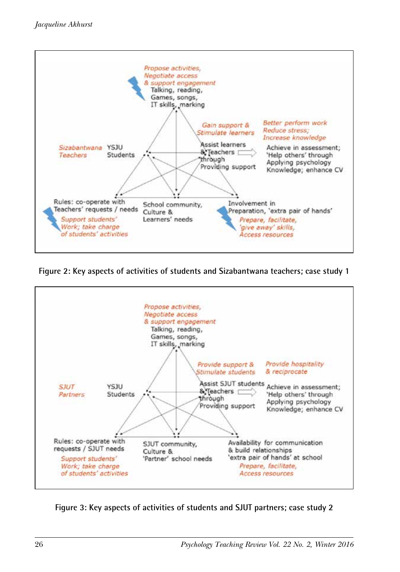

Figure 2: Key aspects of activities of students and Sizabantwana teachers; case study 1



Figure 3: Key aspects of activities of students and SJUT partners; case study 2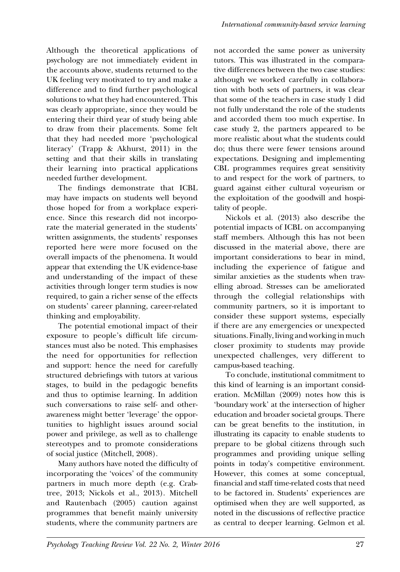Although the theoretical applications of psychology are not immediately evident in the accounts above, students returned to the UK feeling very motivated to try and make a difference and to find further psychological solutions to what they had encountered. This was clearly appropriate, since they would be entering their third year of study being able to draw from their placements. Some felt that they had needed more 'psychological literacy' (Trapp & Akhurst, 2011) in the setting and that their skills in translating their learning into practical applications needed further development.

The findings demonstrate that ICBL may have impacts on students well beyond those hoped for from a workplace experience. Since this research did not incorporate the material generated in the students' written assignments, the students' responses reported here were more focused on the overall impacts of the phenomena. It would appear that extending the UK evidence-base and understanding of the impact of these activities through longer term studies is now required, to gain a richer sense of the effects on students' career planning, career-related thinking and employability.

The potential emotional impact of their exposure to people's difficult life circumstances must also be noted. This emphasises the need for opportunities for reflection and support: hence the need for carefully structured debriefings with tutors at various stages, to build in the pedagogic benefits and thus to optimise learning. In addition such conversations to raise self- and otherawareness might better 'leverage' the opportunities to highlight issues around social power and privilege, as well as to challenge stereotypes and to promote considerations of social justice (Mitchell, 2008).

Many authors have noted the difficulty of incorporating the 'voices' of the community partners in much more depth (e.g. Crabtree, 2013; Nickols et al., 2013). Mitchell and Rautenbach (2005) caution against programmes that benefit mainly university students, where the community partners are

not accorded the same power as university tutors. This was illustrated in the comparative differences between the two case studies: although we worked carefully in collaboration with both sets of partners, it was clear that some of the teachers in case study 1 did not fully understand the role of the students and accorded them too much expertise. In case study 2, the partners appeared to be more realistic about what the students could do; thus there were fewer tensions around expectations. Designing and implementing CBL programmes requires great sensitivity to and respect for the work of partners, to guard against either cultural voyeurism or the exploitation of the goodwill and hospitality of people.

Nickols et al. (2013) also describe the potential impacts of ICBL on accompanying staff members. Although this has not been discussed in the material above, there are important considerations to bear in mind, including the experience of fatigue and similar anxieties as the students when travelling abroad. Stresses can be ameliorated through the collegial relationships with community partners, so it is important to consider these support systems, especially if there are any emergencies or unexpected situations. Finally, living and working in much closer proximity to students may provide unexpected challenges, very different to campus-based teaching.

To conclude, institutional commitment to this kind of learning is an important consideration. McMillan (2009) notes how this is 'boundary work' at the intersection of higher education and broader societal groups. There can be great benefits to the institution, in illustrating its capacity to enable students to prepare to be global citizens through such programmes and providing unique selling points in today's competitive environment. However, this comes at some conceptual, financial and staff time-related costs that need to be factored in. Students' experiences are optimised when they are well supported, as noted in the discussions of reflective practice as central to deeper learning. Gelmon et al.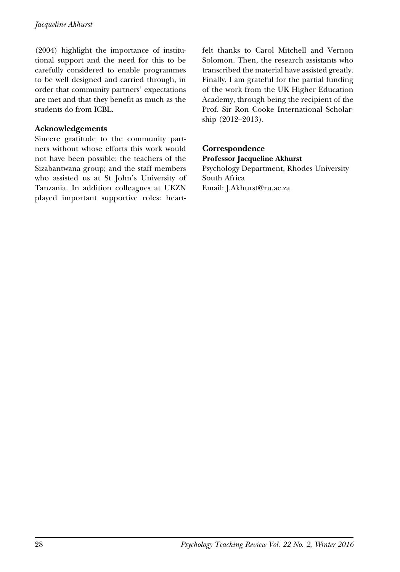(2004) highlight the importance of institutional support and the need for this to be carefully considered to enable programmes to be well designed and carried through, in order that community partners' expectations are met and that they benefit as much as the students do from ICBL.

# **Acknowledgements**

Sincere gratitude to the community partners without whose efforts this work would not have been possible: the teachers of the Sizabantwana group; and the staff members who assisted us at St John's University of Tanzania. In addition colleagues at UKZN played important supportive roles: heartfelt thanks to Carol Mitchell and Vernon Solomon. Then, the research assistants who transcribed the material have assisted greatly. Finally, I am grateful for the partial funding of the work from the UK Higher Education Academy, through being the recipient of the Prof. Sir Ron Cooke International Scholarship (2012–2013).

#### **Correspondence Professor Jacqueline Akhurst**

Psychology Department, Rhodes University South Africa Email: J.Akhurst@ru.ac.za